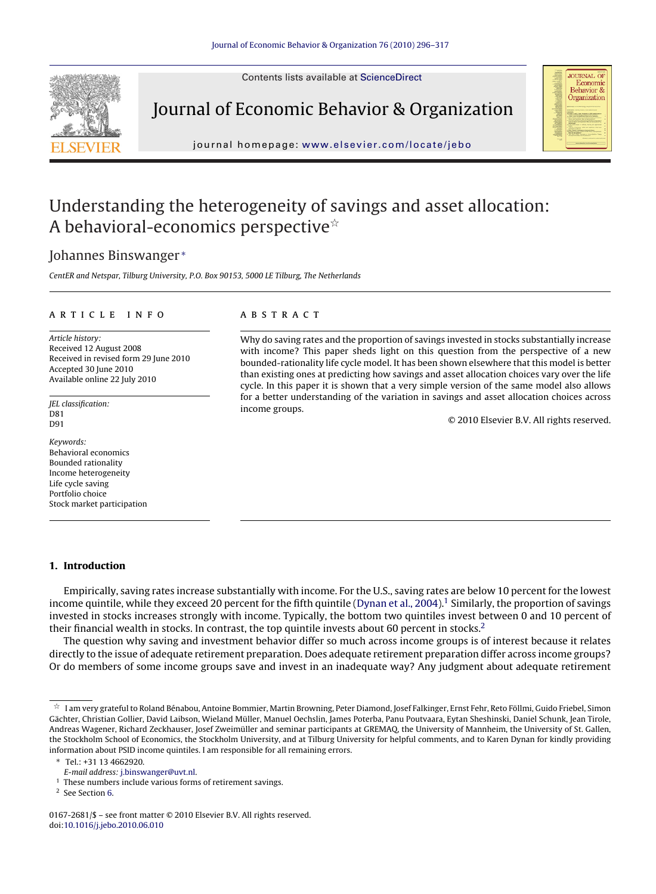Contents lists available at [ScienceDirect](http://www.sciencedirect.com/science/journal/01672681)



Journal of Economic Behavior & Organization



journal homepage: [www.elsevier.com/locate/jebo](http://www.elsevier.com/locate/jebo)

## Understanding the heterogeneity of savings and asset allocation: A behavioral-economics perspective ${}^{\scriptscriptstyle \star}$

### Johannes Binswanger <sup>∗</sup>

CentER and Netspar, Tilburg University, P.O. Box 90153, 5000 LE Tilburg, The Netherlands

#### article info

Article history: Received 12 August 2008 Received in revised form 29 June 2010 Accepted 30 June 2010 Available online 22 July 2010

JEL classification: D81 D91

Keywords: Behavioral economics Bounded rationality Income heterogeneity Life cycle saving Portfolio choice Stock market participation

#### **ABSTRACT**

Why do saving rates and the proportion of savings invested in stocks substantially increase with income? This paper sheds light on this question from the perspective of a new bounded-rationality life cycle model. It has been shown elsewhere that this model is better than existing ones at predicting how savings and asset allocation choices vary over the life cycle. In this paper it is shown that a very simple version of the same model also allows for a better understanding of the variation in savings and asset allocation choices across income groups.

© 2010 Elsevier B.V. All rights reserved.

#### **1. Introduction**

Empirically, saving rates increase substantially with income. For the U.S., saving rates are below 10 percent for the lowest income quintile, while they exceed 20 percent for the fifth quintile [\(Dynan et al., 2004\).](#page--1-0)<sup>1</sup> Similarly, the proportion of savings invested in stocks increases strongly with income. Typically, the bottom two quintiles invest between 0 and 10 percent of their financial wealth in stocks. In contrast, the top quintile invests about 60 percent in stocks.<sup>2</sup>

The question why saving and investment behavior differ so much across income groups is of interest because it relates directly to the issue of adequate retirement preparation. Does adequate retirement preparation differ across income groups? Or do members of some income groups save and invest in an inadequate way? Any judgment about adequate retirement

- Tel.: +31 13 4662920.
- E-mail address: [j.binswanger@uvt.nl](mailto:j.binswanger@uvt.nl).

 $\forall$  I am very grateful to Roland Bénabou, Antoine Bommier, Martin Browning, Peter Diamond, Josef Falkinger, Ernst Fehr, Reto Föllmi, Guido Friebel, Simon Gächter, Christian Gollier, David Laibson, Wieland Müller, Manuel Oechslin, James Poterba, Panu Poutvaara, Eytan Sheshinski, Daniel Schunk, Jean Tirole, Andreas Wagener, Richard Zeckhauser, Josef Zweimüller and seminar participants at GREMAQ, the University of Mannheim, the University of St. Gallen, the Stockholm School of Economics, the Stockholm University, and at Tilburg University for helpful comments, and to Karen Dynan for kindly providing information about PSID income quintiles. I am responsible for all remaining errors.

<sup>&</sup>lt;sup>1</sup> These numbers include various forms of retirement savings.

<sup>2</sup> See Section [6.](#page--1-0)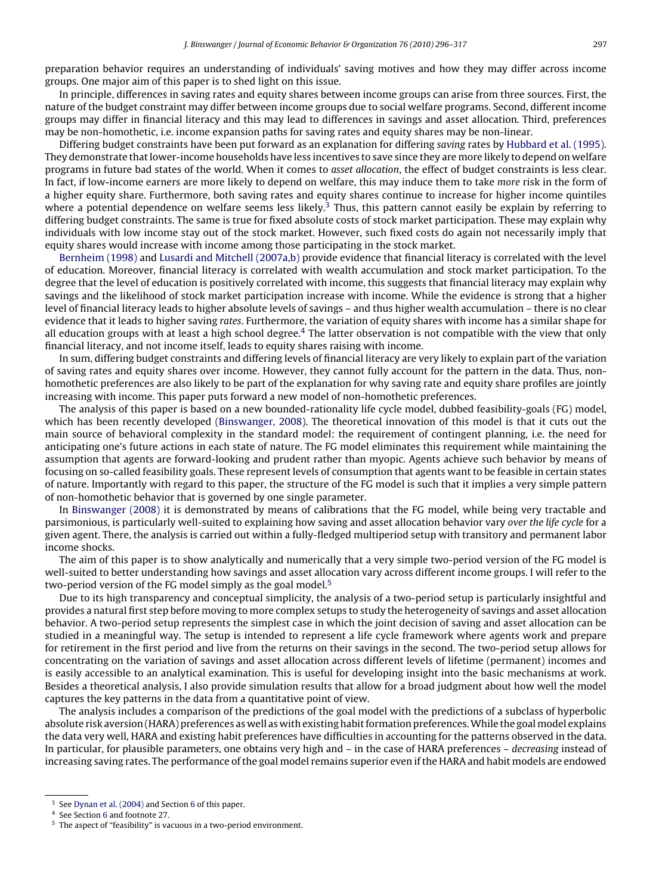preparation behavior requires an understanding of individuals' saving motives and how they may differ across income groups. One major aim of this paper is to shed light on this issue.

In principle, differences in saving rates and equity shares between income groups can arise from three sources. First, the nature of the budget constraint may differ between income groups due to social welfare programs. Second, different income groups may differ in financial literacy and this may lead to differences in savings and asset allocation. Third, preferences may be non-homothetic, i.e. income expansion paths for saving rates and equity shares may be non-linear.

Differing budget constraints have been put forward as an explanation for differing saving rates by [Hubbard et al. \(1995\).](#page--1-0) They demonstrate that lower-income households have less incentives to save since they are more likely to depend on welfare programs in future bad states of the world. When it comes to asset allocation, the effect of budget constraints is less clear. In fact, if low-income earners are more likely to depend on welfare, this may induce them to take more risk in the form of a higher equity share. Furthermore, both saving rates and equity shares continue to increase for higher income quintiles where a potential dependence on welfare seems less likely.<sup>3</sup> Thus, this pattern cannot easily be explain by referring to differing budget constraints. The same is true for fixed absolute costs of stock market participation. These may explain why individuals with low income stay out of the stock market. However, such fixed costs do again not necessarily imply that equity shares would increase with income among those participating in the stock market.

[Bernheim \(1998\)](#page--1-0) and [Lusardi and Mitchell \(2007a,b\)](#page--1-0) provide evidence that financial literacy is correlated with the level of education. Moreover, financial literacy is correlated with wealth accumulation and stock market participation. To the degree that the level of education is positively correlated with income, this suggests that financial literacy may explain why savings and the likelihood of stock market participation increase with income. While the evidence is strong that a higher level of financial literacy leads to higher absolute levels of savings – and thus higher wealth accumulation – there is no clear evidence that it leads to higher saving rates. Furthermore, the variation of equity shares with income has a similar shape for all education groups with at least a high school degree.<sup>4</sup> The latter observation is not compatible with the view that only financial literacy, and not income itself, leads to equity shares raising with income.

In sum, differing budget constraints and differing levels of financial literacy are very likely to explain part of the variation of saving rates and equity shares over income. However, they cannot fully account for the pattern in the data. Thus, nonhomothetic preferences are also likely to be part of the explanation for why saving rate and equity share profiles are jointly increasing with income. This paper puts forward a new model of non-homothetic preferences.

The analysis of this paper is based on a new bounded-rationality life cycle model, dubbed feasibility-goals (FG) model, which has been recently developed ([Binswanger, 2008\).](#page--1-0) The theoretical innovation of this model is that it cuts out the main source of behavioral complexity in the standard model: the requirement of contingent planning, i.e. the need for anticipating one's future actions in each state of nature. The FG model eliminates this requirement while maintaining the assumption that agents are forward-looking and prudent rather than myopic. Agents achieve such behavior by means of focusing on so-called feasibility goals. These represent levels of consumption that agents want to be feasible in certain states of nature. Importantly with regard to this paper, the structure of the FG model is such that it implies a very simple pattern of non-homothetic behavior that is governed by one single parameter.

In [Binswanger \(2008\)](#page--1-0) it is demonstrated by means of calibrations that the FG model, while being very tractable and parsimonious, is particularly well-suited to explaining how saving and asset allocation behavior vary over the life cycle for a given agent. There, the analysis is carried out within a fully-fledged multiperiod setup with transitory and permanent labor income shocks.

The aim of this paper is to show analytically and numerically that a very simple two-period version of the FG model is well-suited to better understanding how savings and asset allocation vary across different income groups. I will refer to the two-period version of the FG model simply as the goal model.<sup>5</sup>

Due to its high transparency and conceptual simplicity, the analysis of a two-period setup is particularly insightful and provides a natural first step before moving to more complex setups to study the heterogeneity of savings and asset allocation behavior. A two-period setup represents the simplest case in which the joint decision of saving and asset allocation can be studied in a meaningful way. The setup is intended to represent a life cycle framework where agents work and prepare for retirement in the first period and live from the returns on their savings in the second. The two-period setup allows for concentrating on the variation of savings and asset allocation across different levels of lifetime (permanent) incomes and is easily accessible to an analytical examination. This is useful for developing insight into the basic mechanisms at work. Besides a theoretical analysis, I also provide simulation results that allow for a broad judgment about how well the model captures the key patterns in the data from a quantitative point of view.

The analysis includes a comparison of the predictions of the goal model with the predictions of a subclass of hyperbolic absolute risk aversion (HARA) preferences as well as with existing habit formation preferences.While the goal model explains the data very well, HARA and existing habit preferences have difficulties in accounting for the patterns observed in the data. In particular, for plausible parameters, one obtains very high and – in the case of HARA preferences – decreasing instead of increasing saving rates. The performance of the goal model remains superior even if the HARA and habit models are endowed

<sup>3</sup> See [Dynan et al. \(2004\)](#page--1-0) and Section [6](#page--1-0) of this paper.

<sup>4</sup> See Section [6](#page--1-0) and footnote 27.

<sup>5</sup> The aspect of "feasibility" is vacuous in a two-period environment.